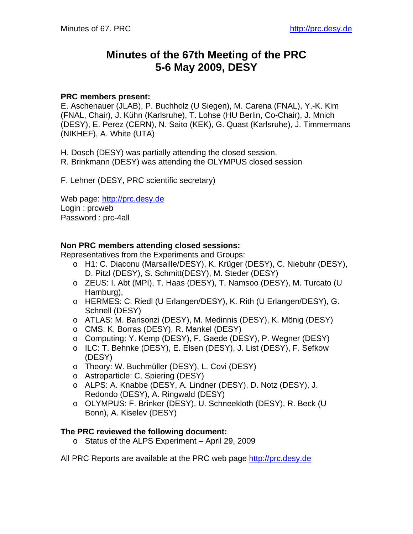# **Minutes of the 67th Meeting of the PRC 5-6 May 2009, DESY**

## **PRC members present:**

E. Aschenauer (JLAB), P. Buchholz (U Siegen), M. Carena (FNAL), Y.-K. Kim (FNAL, Chair), J. Kühn (Karlsruhe), T. Lohse (HU Berlin, Co-Chair), J. Mnich (DESY), E. Perez (CERN), N. Saito (KEK), G. Quast (Karlsruhe), J. Timmermans (NIKHEF), A. White (UTA)

H. Dosch (DESY) was partially attending the closed session. R. Brinkmann (DESY) was attending the OLYMPUS closed session

F. Lehner (DESY, PRC scientific secretary)

Web page: [http://prc.desy.de](http://prc.desy.de/) Login : prcweb Password : prc-4all

## **Non PRC members attending closed sessions:**

Representatives from the Experiments and Groups:

- o H1: C. Diaconu (Marsaille/DESY), K. Krüger (DESY), C. Niebuhr (DESY), D. Pitzl (DESY), S. Schmitt(DESY), M. Steder (DESY)
- o ZEUS: I. Abt (MPI), T. Haas (DESY), T. Namsoo (DESY), M. Turcato (U Hamburg),
- o HERMES: C. Riedl (U Erlangen/DESY), K. Rith (U Erlangen/DESY), G. Schnell (DESY)
- o ATLAS: M. Barisonzi (DESY), M. Medinnis (DESY), K. Mönig (DESY)
- o CMS: K. Borras (DESY), R. Mankel (DESY)
- o Computing: Y. Kemp (DESY), F. Gaede (DESY), P. Wegner (DESY)
- o ILC: T. Behnke (DESY), E. Elsen (DESY), J. List (DESY), F. Sefkow (DESY)
- o Theory: W. Buchmüller (DESY), L. Covi (DESY)
- o Astroparticle: C. Spiering (DESY)
- o ALPS: A. Knabbe (DESY, A. Lindner (DESY), D. Notz (DESY), J. Redondo (DESY), A. Ringwald (DESY)
- o OLYMPUS: F. Brinker (DESY), U. Schneekloth (DESY), R. Beck (U Bonn), A. Kiselev (DESY)

### **The PRC reviewed the following document:**

o Status of the ALPS Experiment – April 29, 2009

All PRC Reports are available at the PRC web page [http://prc.desy.de](http://prc.desy.de/)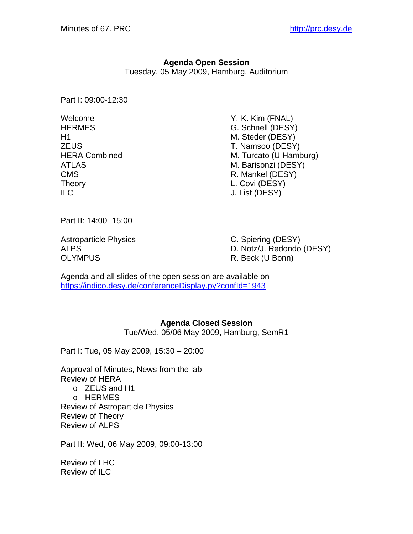# **Agenda Open Session**

Tuesday, 05 May 2009, Hamburg, Auditorium

Part I: 09:00-12:30

Welcome Y.-K. Kim (FNAL) Theory **L. Covi (DESY)** ILC J. List (DESY)

HERMES G. Schnell (DESY) H<sub>1</sub> M. Steder (DESY) ZEUS T. Namsoo (DESY) HERA Combined M. Turcato (U Hamburg) ATLAS M. Barisonzi (DESY) CMS R. Mankel (DESY)

Part II: 14:00 -15:00

Astroparticle Physics C. Spiering (DESY) OLYMPUS R. Beck (U Bonn)

ALPS D. Notz/J. Redondo (DESY)

Agenda and all slides of the open session are available on <https://indico.desy.de/conferenceDisplay.py?confId=1943>

# **Agenda Closed Session**

Tue/Wed, 05/06 May 2009, Hamburg, SemR1

Part I: Tue, 05 May 2009, 15:30 – 20:00

Approval of Minutes, News from the lab Review of HERA

- o ZEUS and H1
- o HERMES

Review of Astroparticle Physics Review of Theory Review of ALPS

Part II: Wed, 06 May 2009, 09:00-13:00

Review of LHC Review of ILC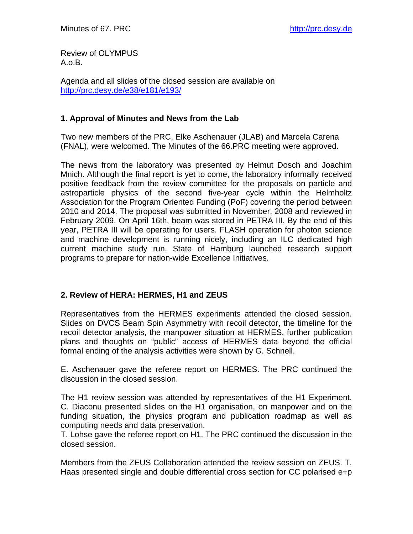Review of OLYMPUS A.o.B.

Agenda and all slides of the closed session are available on <http://prc.desy.de/e38/e181/e193/>

## **1. Approval of Minutes and News from the Lab**

Two new members of the PRC, Elke Aschenauer (JLAB) and Marcela Carena (FNAL), were welcomed. The Minutes of the 66.PRC meeting were approved.

The news from the laboratory was presented by Helmut Dosch and Joachim Mnich. Although the final report is yet to come, the laboratory informally received positive feedback from the review committee for the proposals on particle and astroparticle physics of the second five-year cycle within the Helmholtz Association for the Program Oriented Funding (PoF) covering the period between 2010 and 2014. The proposal was submitted in November, 2008 and reviewed in February 2009. On April 16th, beam was stored in PETRA III. By the end of this year, PETRA III will be operating for users. FLASH operation for photon science and machine development is running nicely, including an ILC dedicated high current machine study run. State of Hamburg launched research support programs to prepare for nation-wide Excellence Initiatives.

# **2. Review of HERA: HERMES, H1 and ZEUS**

Representatives from the HERMES experiments attended the closed session. Slides on DVCS Beam Spin Asymmetry with recoil detector, the timeline for the recoil detector analysis, the manpower situation at HERMES, further publication plans and thoughts on "public" access of HERMES data beyond the official formal ending of the analysis activities were shown by G. Schnell.

E. Aschenauer gave the referee report on HERMES. The PRC continued the discussion in the closed session.

The H1 review session was attended by representatives of the H1 Experiment. C. Diaconu presented slides on the H1 organisation, on manpower and on the funding situation, the physics program and publication roadmap as well as computing needs and data preservation.

T. Lohse gave the referee report on H1. The PRC continued the discussion in the closed session.

Members from the ZEUS Collaboration attended the review session on ZEUS. T. Haas presented single and double differential cross section for CC polarised e+p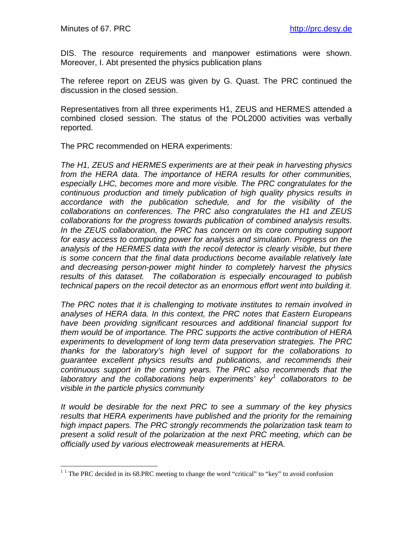DIS. The resource requirements and manpower estimations were shown. Moreover, I. Abt presented the physics publication plans

The referee report on ZEUS was given by G. Quast. The PRC continued the discussion in the closed session.

Representatives from all three experiments H1, ZEUS and HERMES attended a combined closed session. The status of the POL2000 activities was verbally reported.

The PRC recommended on HERA experiments:

*The H1, ZEUS and HERMES experiments are at their peak in harvesting physics from the HERA data. The importance of HERA results for other communities, especially LHC, becomes more and more visible. The PRC congratulates for the continuous production and timely publication of high quality physics results in accordance with the publication schedule, and for the visibility of the collaborations on conferences. The PRC also congratulates the H1 and ZEUS collaborations for the progress towards publication of combined analysis results. In the ZEUS collaboration, the PRC has concern on its core computing support for easy access to computing power for analysis and simulation. Progress on the analysis of the HERMES data with the recoil detector is clearly visible, but there is some concern that the final data productions become available relatively late and decreasing person-power might hinder to completely harvest the physics results of this dataset. The collaboration is especially encouraged to publish technical papers on the recoil detector as an enormous effort went into building it.* 

*The PRC notes that it is challenging to motivate institutes to remain involved in analyses of HERA data. In this context, the PRC notes that Eastern Europeans have been providing significant resources and additional financial support for them would be of importance. The PRC supports the active contribution of HERA experiments to development of long term data preservation strategies. The PRC thanks for the laboratory's high level of support for the collaborations to guarantee excellent physics results and publications, and recommends their continuous support in the coming years. The PRC also recommends that the laboratory and the collaborations help experiments' key[1](#page-3-0) collaborators to be visible in the particle physics community* 

*It would be desirable for the next PRC to see a summary of the key physics results that HERA experiments have published and the priority for the remaining high impact papers. The PRC strongly recommends the polarization task team to present a solid result of the polarization at the next PRC meeting, which can be officially used by various electroweak measurements at HERA.* 

<span id="page-3-0"></span><sup>&</sup>lt;sup>1</sup> The PRC decided in its 68.PRC meeting to change the word "critical" to "key" to avoid confusion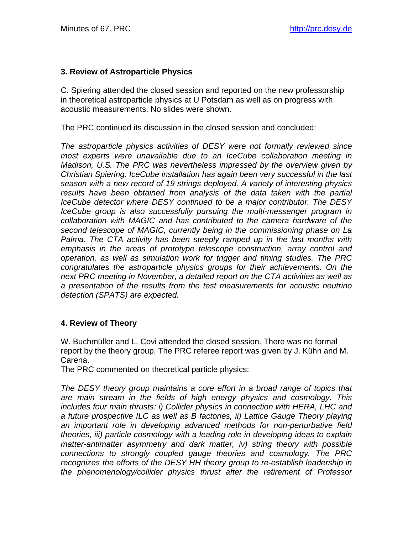# **3. Review of Astroparticle Physics**

C. Spiering attended the closed session and reported on the new professorship in theoretical astroparticle physics at U Potsdam as well as on progress with acoustic measurements. No slides were shown.

The PRC continued its discussion in the closed session and concluded:

*The astroparticle physics activities of DESY were not formally reviewed since most experts were unavailable due to an IceCube collaboration meeting in Madison, U.S. The PRC was nevertheless impressed by the overview given by Christian Spiering. IceCube installation has again been very successful in the last season with a new record of 19 strings deployed. A variety of interesting physics*  results have been obtained from analysis of the data taken with the partial *IceCube detector where DESY continued to be a major contributor. The DESY IceCube group is also successfully pursuing the multi-messenger program in collaboration with MAGIC and has contributed to the camera hardware of the second telescope of MAGIC, currently being in the commissioning phase on La Palma. The CTA activity has been steeply ramped up in the last months with emphasis in the areas of prototype telescope construction, array control and operation, as well as simulation work for trigger and timing studies. The PRC congratulates the astroparticle physics groups for their achievements. On the next PRC meeting in November, a detailed report on the CTA activities as well as a presentation of the results from the test measurements for acoustic neutrino detection (SPATS) are expected.* 

# **4. Review of Theory**

W. Buchmüller and L. Covi attended the closed session. There was no formal report by the theory group. The PRC referee report was given by J. Kühn and M. Carena.

The PRC commented on theoretical particle physics:

*The DESY theory group maintains a core effort in a broad range of topics that are main stream in the fields of high energy physics and cosmology. This includes four main thrusts: i) Collider physics in connection with HERA, LHC and a future prospective ILC as well as B factories, ii) Lattice Gauge Theory playing an important role in developing advanced methods for non-perturbative field theories, iii) particle cosmology with a leading role in developing ideas to explain matter-antimatter asymmetry and dark matter, iv) string theory with possible connections to strongly coupled gauge theories and cosmology. The PRC recognizes the efforts of the DESY HH theory group to re-establish leadership in the phenomenology/collider physics thrust after the retirement of Professor*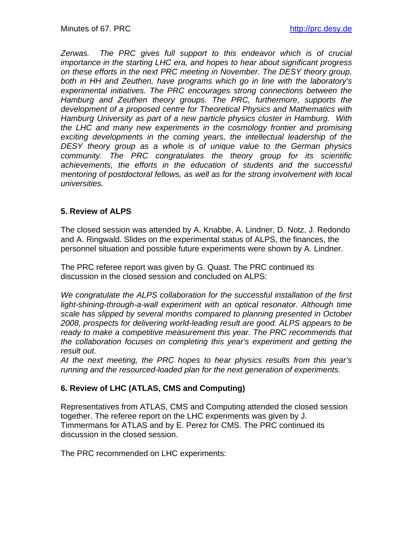*Zerwas. The PRC gives full support to this endeavor which is of crucial importance in the starting LHC era, and hopes to hear about significant progress on these efforts in the next PRC meeting in November. The DESY theory group, both in HH and Zeuthen, have programs which go in line with the laboratory's experimental initiatives. The PRC encourages strong connections between the Hamburg and Zeuthen theory groups. The PRC, furthermore, supports the development of a proposed centre for Theoretical Physics and Mathematics with Hamburg University as part of a new particle physics cluster in Hamburg. With the LHC and many new experiments in the cosmology frontier and promising exciting developments in the coming years, the intellectual leadership of the DESY theory group as a whole is of unique value to the German physics community. The PRC congratulates the theory group for its scientific achievements, the efforts in the education of students and the successful mentoring of postdoctoral fellows, as well as for the strong involvement with local universities.* 

# **5. Review of ALPS**

The closed session was attended by A. Knabbe, A. Lindner, D. Notz, J. Redondo and A. Ringwald. Slides on the experimental status of ALPS, the finances, the personnel situation and possible future experiments were shown by A. Lindner.

The PRC referee report was given by G. Quast. The PRC continued its discussion in the closed session and concluded on ALPS:

*We congratulate the ALPS collaboration for the successful installation of the first*  light-shining-through-a-wall experiment with an optical resonator. Although time *scale has slipped by several months compared to planning presented in October 2008, prospects for delivering world-leading result are good. ALPS appears to be ready to make a competitive measurement this year. The PRC recommends that the collaboration focuses on completing this year's experiment and getting the result out.* 

*At the next meeting, the PRC hopes to hear physics results from this year's running and the resourced-loaded plan for the next generation of experiments.* 

# **6. Review of LHC (ATLAS, CMS and Computing)**

Representatives from ATLAS, CMS and Computing attended the closed session together. The referee report on the LHC experiments was given by J. Timmermans for ATLAS and by E. Perez for CMS. The PRC continued its discussion in the closed session.

The PRC recommended on LHC experiments: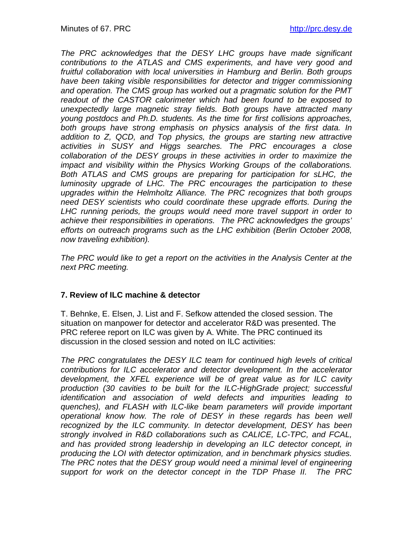*The PRC acknowledges that the DESY LHC groups have made significant contributions to the ATLAS and CMS experiments, and have very good and fruitful collaboration with local universities in Hamburg and Berlin. Both groups have been taking visible responsibilities for detector and trigger commissioning and operation. The CMS group has worked out a pragmatic solution for the PMT readout of the CASTOR calorimeter which had been found to be exposed to unexpectedly large magnetic stray fields. Both groups have attracted many young postdocs and Ph.D. students. As the time for first collisions approaches, both groups have strong emphasis on physics analysis of the first data. In addition to Z, QCD, and Top physics, the groups are starting new attractive activities in SUSY and Higgs searches. The PRC encourages a close collaboration of the DESY groups in these activities in order to maximize the impact and visibility within the Physics Working Groups of the collaborations. Both ATLAS and CMS groups are preparing for participation for sLHC, the luminosity upgrade of LHC. The PRC encourages the participation to these upgrades within the Helmholtz Alliance. The PRC recognizes that both groups need DESY scientists who could coordinate these upgrade efforts. During the*  LHC running periods, the groups would need more travel support in order to *achieve their responsibilities in operations. The PRC acknowledges the groups' efforts on outreach programs such as the LHC exhibition (Berlin October 2008, now traveling exhibition).* 

*The PRC would like to get a report on the activities in the Analysis Center at the next PRC meeting.* 

# **7. Review of ILC machine & detector**

T. Behnke, E. Elsen, J. List and F. Sefkow attended the closed session. The situation on manpower for detector and accelerator R&D was presented. The PRC referee report on ILC was given by A. White. The PRC continued its discussion in the closed session and noted on ILC activities:

*The PRC congratulates the DESY ILC team for continued high levels of critical contributions for ILC accelerator and detector development. In the accelerator development, the XFEL experience will be of great value as for ILC cavity production (30 cavities to be built for the ILC-HighGrade project; successful identification and association of weld defects and impurities leading to quenches), and FLASH with ILC-like beam parameters will provide important operational know how. The role of DESY in these regards has been well recognized by the ILC community. In detector development, DESY has been strongly involved in R&D collaborations such as CALICE, LC-TPC, and FCAL, and has provided strong leadership in developing an ILC detector concept, in producing the LOI with detector optimization, and in benchmark physics studies. The PRC notes that the DESY group would need a minimal level of engineering support for work on the detector concept in the TDP Phase II. The PRC*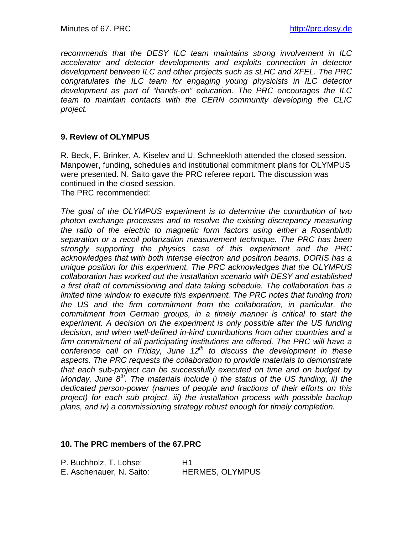*recommends that the DESY ILC team maintains strong involvement in ILC accelerator and detector developments and exploits connection in detector development between ILC and other projects such as sLHC and XFEL. The PRC congratulates the ILC team for engaging young physicists in ILC detector development as part of "hands-on" education. The PRC encourages the ILC team to maintain contacts with the CERN community developing the CLIC project.* 

## **9. Review of OLYMPUS**

R. Beck, F. Brinker, A. Kiselev and U. Schneekloth attended the closed session. Manpower, funding, schedules and institutional commitment plans for OLYMPUS were presented. N. Saito gave the PRC referee report. The discussion was continued in the closed session.

The PRC recommended:

*The goal of the OLYMPUS experiment is to determine the contribution of two photon exchange processes and to resolve the existing discrepancy measuring the ratio of the electric to magnetic form factors using either a Rosenbluth separation or a recoil polarization measurement technique. The PRC has been strongly supporting the physics case of this experiment and the PRC acknowledges that with both intense electron and positron beams, DORIS has a unique position for this experiment. The PRC acknowledges that the OLYMPUS collaboration has worked out the installation scenario with DESY and established a first draft of commissioning and data taking schedule. The collaboration has a limited time window to execute this experiment. The PRC notes that funding from the US and the firm commitment from the collaboration, in particular, the commitment from German groups, in a timely manner is critical to start the*  experiment. A decision on the experiment is only possible after the US funding *decision, and when well-defined in-kind contributions from other countries and a firm commitment of all participating institutions are offered. The PRC will have a conference call on Friday, June 12th to discuss the development in these aspects. The PRC requests the collaboration to provide materials to demonstrate that each sub-project can be successfully executed on time and on budget by Monday, June 8<sup>th</sup>. The materials include i) the status of the US funding, ii) the dedicated person-power (names of people and fractions of their efforts on this project) for each sub project, iii) the installation process with possible backup plans, and iv) a commissioning strategy robust enough for timely completion.* 

### **10. The PRC members of the 67.PRC**

| P. Buchholz, T. Lohse:   | H <sub>1</sub>         |
|--------------------------|------------------------|
| E. Aschenauer, N. Saito: | <b>HERMES, OLYMPUS</b> |